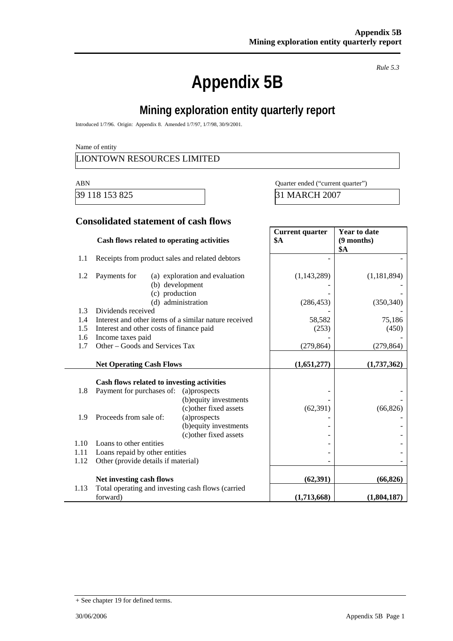# **Appendix 5B**

*Rule 5.3* 

## **Mining exploration entity quarterly report**

Introduced 1/7/96. Origin: Appendix 8. Amended 1/7/97, 1/7/98, 30/9/2001.

Name of entity

#### LIONTOWN RESOURCES LIMITED

39 118 153 825 31 MARCH 2007

ABN Quarter ended ("current quarter")

#### **Consolidated statement of cash flows**

|      | Cash flows related to operating activities            |                                | <b>Current quarter</b><br><b>\$A</b> | <b>Year to date</b><br>(9 months)<br>\$A |
|------|-------------------------------------------------------|--------------------------------|--------------------------------------|------------------------------------------|
| 1.1  | Receipts from product sales and related debtors       |                                |                                      |                                          |
| 1.2  | Payments for<br>(b) development                       | (a) exploration and evaluation | (1, 143, 289)                        | (1, 181, 894)                            |
|      | (c) production                                        | (d) administration             | (286, 453)                           | (350, 340)                               |
| 1.3  | Dividends received                                    |                                |                                      |                                          |
| 1.4  | Interest and other items of a similar nature received |                                | 58,582                               | 75,186                                   |
| 1.5  | Interest and other costs of finance paid              |                                | (253)                                | (450)                                    |
| 1.6  | Income taxes paid                                     |                                |                                      |                                          |
| 1.7  | Other – Goods and Services Tax                        |                                | (279, 864)                           | (279, 864)                               |
|      | <b>Net Operating Cash Flows</b>                       |                                | (1,651,277)                          | (1,737,362)                              |
|      | Cash flows related to investing activities            |                                |                                      |                                          |
| 1.8  | Payment for purchases of:                             | (a)prospects                   |                                      |                                          |
|      |                                                       | (b) equity investments         |                                      |                                          |
|      |                                                       | (c) other fixed assets         | (62, 391)                            | (66, 826)                                |
| 1.9  | Proceeds from sale of:                                | (a)prospects                   |                                      |                                          |
|      |                                                       | (b) equity investments         |                                      |                                          |
|      |                                                       | (c) other fixed assets         |                                      |                                          |
| 1.10 | Loans to other entities                               |                                |                                      |                                          |
| 1.11 | Loans repaid by other entities                        |                                |                                      |                                          |
| 1.12 | Other (provide details if material)                   |                                |                                      |                                          |
|      | Net investing cash flows                              |                                | (62, 391)                            | (66, 826)                                |
| 1.13 | Total operating and investing cash flows (carried     |                                |                                      |                                          |
|      | forward)                                              |                                | (1,713,668)                          | (1,804,187)                              |

<sup>+</sup> See chapter 19 for defined terms.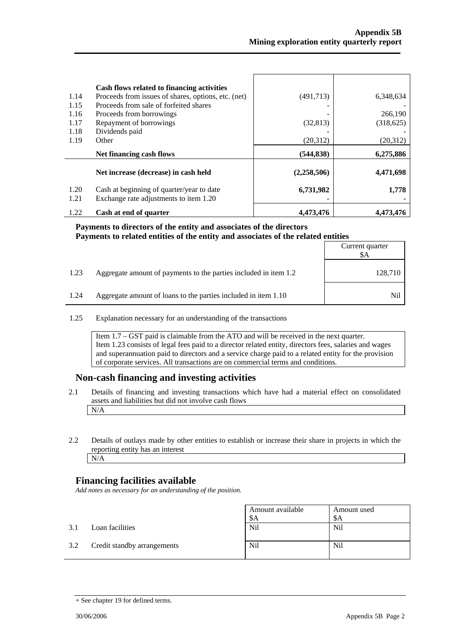| 1.14<br>1.15<br>1.16<br>1.17<br>1.18<br>1.19 | Cash flows related to financing activities<br>Proceeds from issues of shares, options, etc. (net)<br>Proceeds from sale of forfeited shares<br>Proceeds from borrowings<br>Repayment of borrowings<br>Dividends paid<br>Other | (491,713)<br>(32,813)<br>(20,312) | 6,348,634<br>266,190<br>(318, 625)<br>(20, 312) |
|----------------------------------------------|-------------------------------------------------------------------------------------------------------------------------------------------------------------------------------------------------------------------------------|-----------------------------------|-------------------------------------------------|
|                                              | Net financing cash flows                                                                                                                                                                                                      | (544, 838)                        | 6,275,886                                       |
|                                              | Net increase (decrease) in cash held                                                                                                                                                                                          | (2,258,506)                       | 4,471,698                                       |
| 1.20<br>1.21                                 | Cash at beginning of quarter/year to date<br>Exchange rate adjustments to item 1.20                                                                                                                                           | 6,731,982                         | 1,778                                           |
| 1.22                                         | Cash at end of quarter                                                                                                                                                                                                        | 4.473.476                         | 4.473.476                                       |

#### **Payments to directors of the entity and associates of the directors**  Payments to related entities of the entity and associates of the related entities

|      |                                                                  | Current quarter<br>\$A |
|------|------------------------------------------------------------------|------------------------|
| 1.23 | Aggregate amount of payments to the parties included in item 1.2 | 128,710                |
| 1.24 | Aggregate amount of loans to the parties included in item 1.10   | Nil                    |

1.25 Explanation necessary for an understanding of the transactions

Item 1.7 – GST paid is claimable from the ATO and will be received in the next quarter. Item 1.23 consists of legal fees paid to a director related entity, directors fees, salaries and wages and superannuation paid to directors and a service charge paid to a related entity for the provision of corporate services. All transactions are on commercial terms and conditions.

#### **Non-cash financing and investing activities**

- 2.1 Details of financing and investing transactions which have had a material effect on consolidated assets and liabilities but did not involve cash flows N/A
- 2.2 Details of outlays made by other entities to establish or increase their share in projects in which the reporting entity has an interest N/A

#### **Financing facilities available**

*Add notes as necessary for an understanding of the position.* 

|     |                             | Amount available<br>\$A | Amount used<br>-SA |
|-----|-----------------------------|-------------------------|--------------------|
| 3.1 | Loan facilities             | Nil                     | <b>Nil</b>         |
| 3.2 | Credit standby arrangements | Nil                     | <b>Nil</b>         |

<sup>+</sup> See chapter 19 for defined terms.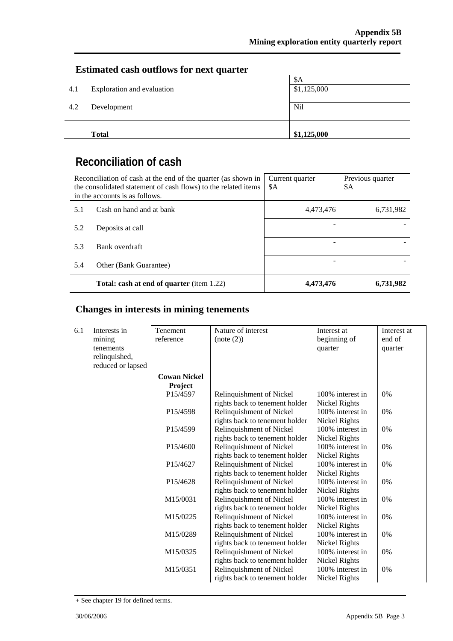#### **Estimated cash outflows for next quarter**

|     | <b>Total</b>               | \$1,125,000 |
|-----|----------------------------|-------------|
|     |                            |             |
| 4.2 | Development                | Nil         |
|     |                            |             |
| 4.1 | Exploration and evaluation | \$1,125,000 |
|     |                            | \$A         |

## **Reconciliation of cash**

| Reconciliation of cash at the end of the quarter (as shown in<br>the consolidated statement of cash flows) to the related items<br>in the accounts is as follows. |                                                  | Current quarter<br>\$A | Previous quarter<br>\$Α |
|-------------------------------------------------------------------------------------------------------------------------------------------------------------------|--------------------------------------------------|------------------------|-------------------------|
| 5.1                                                                                                                                                               | Cash on hand and at bank                         | 4,473,476              | 6,731,982               |
| 5.2                                                                                                                                                               | Deposits at call                                 |                        |                         |
| 5.3                                                                                                                                                               | Bank overdraft                                   |                        |                         |
| 5.4                                                                                                                                                               | Other (Bank Guarantee)                           |                        |                         |
|                                                                                                                                                                   | <b>Total: cash at end of quarter</b> (item 1.22) | 4,473,476              | 6,731,982               |

### **Changes in interests in mining tenements**

| 6.1 | Interests in      | Tenement              | Nature of interest             | Interest at      | Interest at |
|-----|-------------------|-----------------------|--------------------------------|------------------|-------------|
|     | mining            | reference             | (note (2))                     | beginning of     | end of      |
|     | tenements         |                       |                                | quarter          | quarter     |
|     | relinquished,     |                       |                                |                  |             |
|     | reduced or lapsed |                       |                                |                  |             |
|     |                   | <b>Cowan Nickel</b>   |                                |                  |             |
|     |                   | Project               |                                |                  |             |
|     |                   | P15/4597              | Relinquishment of Nickel       | 100% interest in | 0%          |
|     |                   |                       | rights back to tenement holder | Nickel Rights    |             |
|     |                   | P <sub>15</sub> /4598 | Relinquishment of Nickel       | 100% interest in | 0%          |
|     |                   |                       | rights back to tenement holder | Nickel Rights    |             |
|     |                   | P <sub>15</sub> /4599 | Relinquishment of Nickel       | 100% interest in | 0%          |
|     |                   |                       | rights back to tenement holder | Nickel Rights    |             |
|     |                   | P <sub>15</sub> /4600 | Relinquishment of Nickel       | 100% interest in | 0%          |
|     |                   |                       | rights back to tenement holder | Nickel Rights    |             |
|     |                   | P15/4627              | Relinquishment of Nickel       | 100% interest in | 0%          |
|     |                   |                       | rights back to tenement holder | Nickel Rights    |             |
|     |                   | P15/4628              | Relinquishment of Nickel       | 100% interest in | 0%          |
|     |                   |                       | rights back to tenement holder | Nickel Rights    |             |
|     |                   | M15/0031              | Relinquishment of Nickel       | 100% interest in | 0%          |
|     |                   |                       | rights back to tenement holder | Nickel Rights    |             |
|     |                   | M15/0225              | Relinquishment of Nickel       | 100% interest in | 0%          |
|     |                   |                       | rights back to tenement holder | Nickel Rights    |             |
|     |                   | M15/0289              | Relinquishment of Nickel       | 100% interest in | 0%          |
|     |                   |                       | rights back to tenement holder | Nickel Rights    |             |
|     |                   | M15/0325              | Relinquishment of Nickel       | 100% interest in | 0%          |
|     |                   |                       | rights back to tenement holder | Nickel Rights    |             |
|     |                   | M15/0351              | Relinquishment of Nickel       | 100% interest in | 0%          |
|     |                   |                       | rights back to tenement holder | Nickel Rights    |             |

<sup>+</sup> See chapter 19 for defined terms.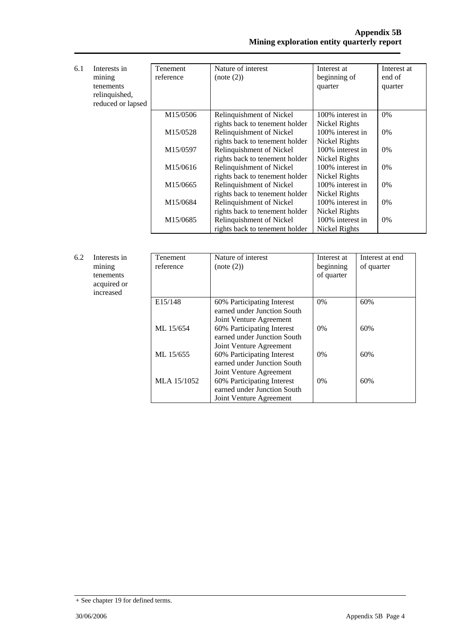| 6.1 | Interests in<br>mining | Tenement<br>reference | Nature of interest<br>(note (2)) | Interest at<br>beginning of | Interest at<br>end of |
|-----|------------------------|-----------------------|----------------------------------|-----------------------------|-----------------------|
|     | tenements              |                       |                                  | quarter                     | quarter               |
|     | relinquished,          |                       |                                  |                             |                       |
|     | reduced or lapsed      |                       |                                  |                             |                       |
|     |                        | M15/0506              | Relinquishment of Nickel         | 100% interest in            | $0\%$                 |
|     |                        |                       | rights back to tenement holder   | Nickel Rights               |                       |
|     |                        | M15/0528              | Relinquishment of Nickel         | 100% interest in            | $0\%$                 |
|     |                        |                       | rights back to tenement holder   | Nickel Rights               |                       |
|     |                        | M15/0597              | Relinquishment of Nickel         | 100% interest in            | 0%                    |
|     |                        |                       | rights back to tenement holder   | Nickel Rights               |                       |
|     |                        | M15/0616              | Relinquishment of Nickel         | 100% interest in            | $0\%$                 |
|     |                        |                       | rights back to tenement holder   | Nickel Rights               |                       |
|     |                        | M15/0665              | Relinquishment of Nickel         | 100% interest in            | $0\%$                 |
|     |                        |                       | rights back to tenement holder   | Nickel Rights               |                       |
|     |                        | M15/0684              | Relinquishment of Nickel         | 100% interest in            | $0\%$                 |
|     |                        |                       | rights back to tenement holder   | Nickel Rights               |                       |
|     |                        | M15/0685              | Relinquishment of Nickel         | 100% interest in            | $0\%$                 |
|     |                        |                       | rights back to tenement holder   | Nickel Rights               |                       |

| 6.2 | Interests in<br>mining<br>tenements<br>acquired or<br>increased | Tenement<br>reference | Nature of interest<br>(note (2))                                                     | Interest at<br>beginning<br>of quarter | Interest at end<br>of quarter |
|-----|-----------------------------------------------------------------|-----------------------|--------------------------------------------------------------------------------------|----------------------------------------|-------------------------------|
|     |                                                                 | E15/148               | 60% Participating Interest<br>earned under Junction South<br>Joint Venture Agreement | $0\%$                                  | 60%                           |
|     |                                                                 | ML 15/654             | 60% Participating Interest<br>earned under Junction South<br>Joint Venture Agreement | $0\%$                                  | 60%                           |
|     |                                                                 | ML 15/655             | 60% Participating Interest<br>earned under Junction South<br>Joint Venture Agreement | $0\%$                                  | 60%                           |
|     |                                                                 | MLA 15/1052           | 60% Participating Interest<br>earned under Junction South<br>Joint Venture Agreement | $0\%$                                  | 60%                           |

<sup>+</sup> See chapter 19 for defined terms.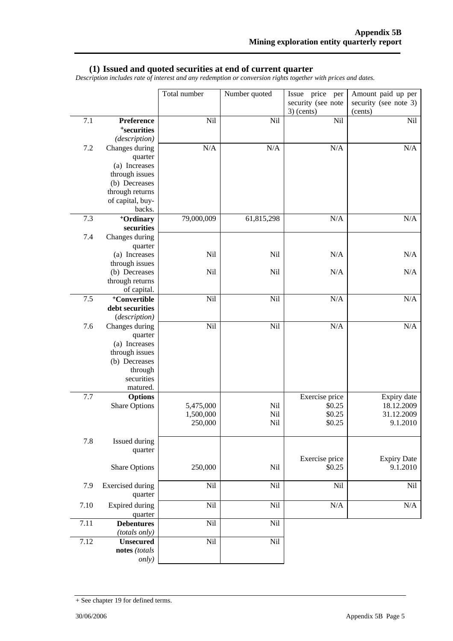#### **(1) Issued and quoted securities at end of current quarter**

*Description includes rate of interest and any redemption or conversion rights together with prices and dates.* 

|      |                                  | Total number         | Number quoted | Issue price per<br>security (see note | Amount paid up per<br>security (see note 3) |
|------|----------------------------------|----------------------|---------------|---------------------------------------|---------------------------------------------|
|      |                                  |                      |               | $3)$ (cents)                          | (cents)                                     |
| 7.1  | Preference                       | Nil                  | Nil           | Nil                                   | Nil                                         |
|      | <sup>+</sup> securities          |                      |               |                                       |                                             |
|      | (description)                    |                      |               |                                       |                                             |
| 7.2  | Changes during                   | N/A                  | N/A           | N/A                                   | $\rm N/A$                                   |
|      | quarter                          |                      |               |                                       |                                             |
|      | (a) Increases<br>through issues  |                      |               |                                       |                                             |
|      | (b) Decreases                    |                      |               |                                       |                                             |
|      | through returns                  |                      |               |                                       |                                             |
|      | of capital, buy-                 |                      |               |                                       |                                             |
|      | backs.                           |                      |               |                                       |                                             |
| 7.3  | <sup>+</sup> Ordinary            | 79,000,009           | 61,815,298    | N/A                                   | N/A                                         |
|      | securities                       |                      |               |                                       |                                             |
| 7.4  | Changes during                   |                      |               |                                       |                                             |
|      | quarter                          |                      |               |                                       |                                             |
|      | (a) Increases                    | Nil                  | Nil           | N/A                                   | N/A                                         |
|      | through issues                   |                      |               |                                       |                                             |
|      | (b) Decreases                    | Nil                  | Nil           | N/A                                   | N/A                                         |
|      | through returns                  |                      |               |                                       |                                             |
|      | of capital.                      |                      |               |                                       |                                             |
| 7.5  | <sup>+</sup> Convertible         | Nil                  | Nil           | N/A                                   | N/A                                         |
|      | debt securities<br>(description) |                      |               |                                       |                                             |
| 7.6  | Changes during                   | Nil                  | Nil           | N/A                                   | N/A                                         |
|      | quarter                          |                      |               |                                       |                                             |
|      | (a) Increases                    |                      |               |                                       |                                             |
|      | through issues                   |                      |               |                                       |                                             |
|      | (b) Decreases                    |                      |               |                                       |                                             |
|      | through                          |                      |               |                                       |                                             |
|      | securities                       |                      |               |                                       |                                             |
|      | matured.                         |                      |               |                                       |                                             |
| 7.7  | <b>Options</b>                   |                      |               | Exercise price                        | Expiry date                                 |
|      | <b>Share Options</b>             | 5,475,000            | Nil           | \$0.25                                | 18.12.2009                                  |
|      |                                  | 1,500,000<br>250,000 | Nil<br>Nil    | \$0.25<br>\$0.25                      | 31.12.2009<br>9.1.2010                      |
|      |                                  |                      |               |                                       |                                             |
| 7.8  | Issued during                    |                      |               |                                       |                                             |
|      | quarter                          |                      |               |                                       |                                             |
|      |                                  |                      |               | Exercise price                        | <b>Expiry Date</b>                          |
|      | <b>Share Options</b>             | 250,000              | Nil           | \$0.25                                | 9.1.2010                                    |
|      |                                  |                      |               |                                       |                                             |
| 7.9  | <b>Exercised</b> during          | Nil                  | Nil           | Nil                                   | $\rm{Nil}$                                  |
|      | quarter                          |                      |               |                                       |                                             |
| 7.10 | Expired during                   | Nil                  | Nil           | N/A                                   | $\rm N/A$                                   |
|      | quarter                          |                      |               |                                       |                                             |
| 7.11 | <b>Debentures</b>                | Nil                  | Nil           |                                       |                                             |
|      | (totals only)                    |                      |               |                                       |                                             |
| 7.12 | <b>Unsecured</b>                 | Nil                  | Nil           |                                       |                                             |
|      | notes (totals                    |                      |               |                                       |                                             |
|      | only)                            |                      |               |                                       |                                             |

<sup>+</sup> See chapter 19 for defined terms.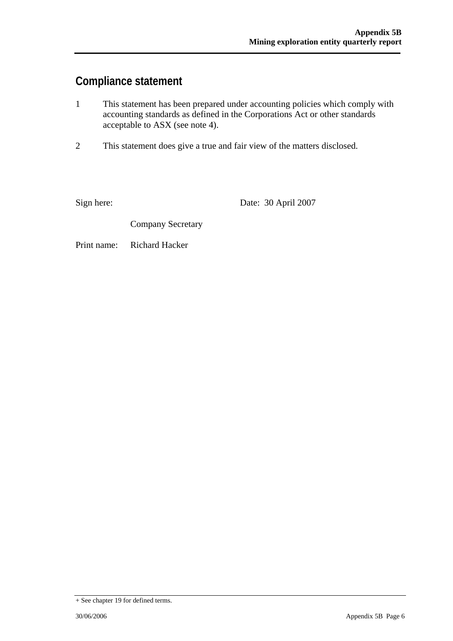## **Compliance statement**

- 1 This statement has been prepared under accounting policies which comply with accounting standards as defined in the Corporations Act or other standards acceptable to ASX (see note 4).
- 2 This statement does give a true and fair view of the matters disclosed.

Sign here: Date: 30 April 2007

Company Secretary

Print name: Richard Hacker

<sup>+</sup> See chapter 19 for defined terms.